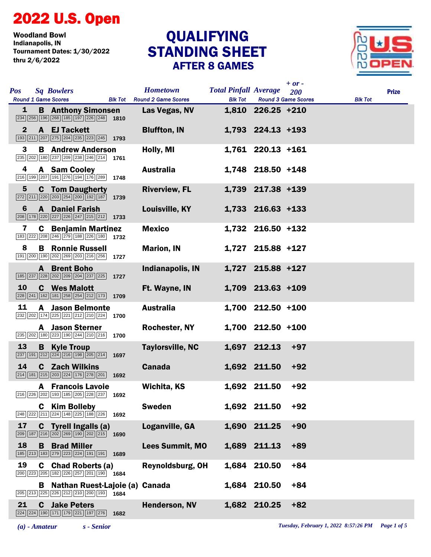## 2022 U.S. Open

Woodland Bowl<br>Indianapolis, IN Tournament Dates: 1/30/2022 thru 2/6/2022

## STANDING SHEET AFTER 8 GAMES **QUALIFYING**



| <b>Pos</b>      |   | <b>Sq Bowlers</b><br><b>Round 1 Game Scores</b>                                                                                                           |      | <b>Hometown</b><br><b>Blk Tot</b> Round 2 Game Scores | <b>Total Pinfall Average</b><br><b>Blk Tot</b> |                     | $+$ or -<br>200<br><b>Round 3 Game Scores</b> | <b>Blk Tot</b> | <b>Prize</b> |
|-----------------|---|-----------------------------------------------------------------------------------------------------------------------------------------------------------|------|-------------------------------------------------------|------------------------------------------------|---------------------|-----------------------------------------------|----------------|--------------|
| $\mathbf{1}$    |   | <b>B</b> Anthony Simonsen<br>$\boxed{234}$ $\boxed{256}$ $\boxed{196}$ $\boxed{268}$ $\boxed{185}$ $\boxed{197}$ $\boxed{226}$ $\boxed{248}$ 1810         |      | Las Vegas, NV                                         |                                                | $1,810$ 226.25 +210 |                                               |                |              |
| $\mathbf{2}$    |   | A EJ Tackett<br>$\boxed{193}$ $\boxed{211}$ $\boxed{207}$ $\boxed{275}$ $\boxed{204}$ $\boxed{235}$ $\boxed{223}$ $\boxed{245}$ <b>1793</b>               |      | <b>Bluffton, IN</b>                                   |                                                | $1,793$ 224.13 +193 |                                               |                |              |
| 3               |   | <b>B</b> Andrew Anderson<br>235 202 180 237 209 238 246 214 1761                                                                                          |      | Holly, MI                                             |                                                | 1,761 220.13 +161   |                                               |                |              |
| 4               |   | A Sam Cooley<br>216 199 207 191 276 194 176 289 1748                                                                                                      |      | <b>Australia</b>                                      |                                                | 1,748 218.50 +148   |                                               |                |              |
| $5\phantom{.0}$ |   | <b>C</b> Tom Daugherty<br>$\boxed{272}\boxed{211}\boxed{220}\boxed{203}\boxed{254}\boxed{200}\boxed{192}\boxed{187}$ 1739                                 |      | <b>Riverview, FL</b>                                  |                                                | 1,739 217.38 +139   |                                               |                |              |
| 6               |   | <b>A</b> Daniel Farish<br>208 178 220 227 226 247 215 212 1733                                                                                            |      | Louisville, KY                                        |                                                | 1,733 216.63 +133   |                                               |                |              |
| 7               |   | <b>C</b> Benjamin Martinez<br>183 222 208 246 279 188 226 180 1732                                                                                        |      | <b>Mexico</b>                                         |                                                | 1,732 216.50 +132   |                                               |                |              |
| 8               |   | <b>B</b> Ronnie Russell<br>191 200 190 202 269 203 216 256 1727                                                                                           |      | <b>Marion, IN</b>                                     |                                                | 1,727 215.88 +127   |                                               |                |              |
|                 |   | <b>A</b> Brent Boho<br>185 237 228 202 209 204 237 225 1727                                                                                               |      | <b>Indianapolis, IN</b>                               |                                                | 1,727 215.88 +127   |                                               |                |              |
| 10              |   | <b>C</b> Wes Malott<br>$\boxed{228}\boxed{241}\boxed{162}\boxed{181}\boxed{258}\boxed{254}\boxed{212}\boxed{173}$ 1709                                    |      | Ft. Wayne, IN                                         |                                                | $1,709$ 213.63 +109 |                                               |                |              |
| 11              |   | <b>A</b> Jason Belmonte<br>232 202 174 225 221 212 210 224 1700                                                                                           |      | <b>Australia</b>                                      |                                                | 1,700 212.50 +100   |                                               |                |              |
|                 |   | <b>A</b> Jason Sterner<br>$\boxed{235}$ $\boxed{202}$ $\boxed{180}$ $\boxed{223}$ $\boxed{190}$ $\boxed{244}$ $\boxed{210}$ $\boxed{216}$ 1700            |      | Rochester, NY                                         |                                                | $1,700$ 212.50 +100 |                                               |                |              |
| 13              |   | <b>B</b> Kyle Troup<br>$\boxed{237}$ 191 212 224 216 198 205 214                                                                                          | 1697 | <b>Taylorsville, NC</b>                               |                                                | 1,697 212.13        | $+97$                                         |                |              |
| 14              |   | <b>C</b> Zach Wilkins<br>$\boxed{214}$ $\boxed{181}$ $\boxed{215}$ $\boxed{203}$ $\boxed{224}$ $\boxed{176}$ $\boxed{278}$ $\boxed{201}$ <b>1692</b>      |      | <b>Canada</b>                                         |                                                | 1,692 211.50        | $+92$                                         |                |              |
|                 |   | <b>A</b> Francois Lavoie<br>216 226 202 193 185 205 228 237 1692                                                                                          |      | Wichita, KS                                           |                                                | 1,692 211.50        | $+92$                                         |                |              |
|                 |   | <b>C</b> Kim Bolleby<br>248 222 211 224 148 225 188 226 1692                                                                                              |      | <b>Sweden</b>                                         |                                                | 1,692 211.50        | $+92$                                         |                |              |
| 17              |   | <b>C</b> Tyrell Ingalls (a)<br>$\boxed{209}$ 187 $\boxed{216}$ $\boxed{202}$ $\boxed{269}$ 190 $\boxed{202}$ $\boxed{215}$ 1690                           |      | Loganville, GA                                        |                                                | 1,690 211.25        | $+90$                                         |                |              |
| 18              | в | <b>Brad Miller</b><br>185 213 183 279 223 224 191 191                                                                                                     | 1689 | <b>Lees Summit, MO</b>                                |                                                | 1,689 211.13        | $+89$                                         |                |              |
| 19              | C | <b>Chad Roberts (a)</b><br>$\boxed{200}$ $\boxed{223}$ $\boxed{205}$ $\boxed{182}$ $\boxed{226}$ $\boxed{257}$ $\boxed{201}$ $\boxed{190}$ $\boxed{1684}$ |      | Reynoldsburg, OH                                      |                                                | 1,684 210.50        | $+84$                                         |                |              |
|                 |   | <b>B</b> Nathan Ruest-Lajoie (a)<br>205 213 225 226 212 210 200 193 1684                                                                                  |      | Canada                                                |                                                | 1,684 210.50        | $+84$                                         |                |              |
| 21              | C | <b>Jake Peters</b><br>224 224 190 171 179 221 197 276                                                                                                     | 1682 | <b>Henderson, NV</b>                                  |                                                | 1,682 210.25        | $+82$                                         |                |              |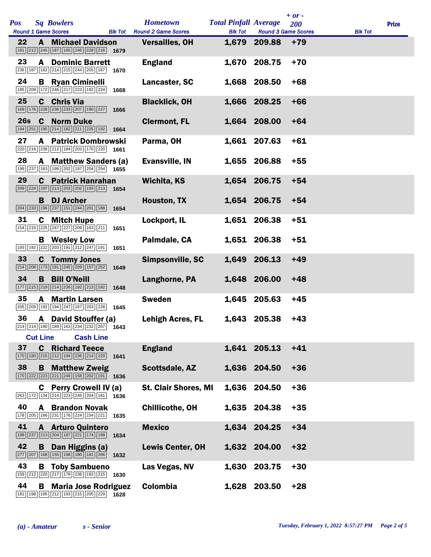| Pos |                 | <b>Sq Bowlers</b><br><b>Round 1 Game Scores</b>                                                                                                                                                    |                  |      | <b>Hometown</b><br><b>Blk Tot</b> Round 2 Game Scores | <b>Total Pinfall Average</b><br><b>Blk Tot</b> | <b>Round 3 Game Scores</b> | $+ or -$<br>200 | <b>Blk Tot</b> | <b>Prize</b> |
|-----|-----------------|----------------------------------------------------------------------------------------------------------------------------------------------------------------------------------------------------|------------------|------|-------------------------------------------------------|------------------------------------------------|----------------------------|-----------------|----------------|--------------|
| 22  |                 | <b>A</b> Michael Davidson<br>181 212 245 187 165 245 228 216                                                                                                                                       |                  | 1679 | <b>Versailles, OH</b>                                 |                                                | 1,679 209.88               | $+79$           |                |              |
| 23  | A               | <b>Dominic Barrett</b><br>236 187 182 214 215 244 205 187 1670                                                                                                                                     |                  |      | <b>England</b>                                        | 1,670                                          | 208.75                     | $+70$           |                |              |
| 24  |                 | <b>B</b> Ryan Ciminelli<br>185 209 172 246 217 223 192 224                                                                                                                                         |                  | 1668 | Lancaster, SC                                         |                                                | 1,668 208.50               | $+68$           |                |              |
| 25  |                 | <b>C</b> Chris Via<br>169 176 228 236 233 207 190 227                                                                                                                                              |                  | 1666 | <b>Blacklick, OH</b>                                  |                                                | 1,666 208.25               | $+66$           |                |              |
| 26s | C               | <b>Norm Duke</b><br>194 251 195 214 182 211 225 192                                                                                                                                                |                  | 1664 | <b>Clermont, FL</b>                                   |                                                | 1,664 208.00               | $+64$           |                |              |
| 27  |                 | <b>A</b> Patrick Dombrowski<br>220 216 236 212 184 203 170 220 1661                                                                                                                                |                  |      | Parma, OH                                             |                                                | 1,661 207.63               | $+61$           |                |              |
| 28  |                 | A Matthew Sanders (a)<br>199 237 163 199 202 197 204 254 1655                                                                                                                                      |                  |      | <b>Evansville, IN</b>                                 |                                                | 1,655 206.88               | $+55$           |                |              |
| 29  | C               | <b>Patrick Hanrahan</b><br>209 224 197 213 203 202 193 213                                                                                                                                         |                  | 1654 | <b>Wichita, KS</b>                                    |                                                | 1,654 206.75               | $+54$           |                |              |
|     |                 | <b>B</b> DJ Archer<br>204 233 196 237 151 244 201 188                                                                                                                                              |                  | 1654 | Houston, TX                                           |                                                | 1,654 206.75               | $+54$           |                |              |
| 31  |                 | <b>C</b> Mitch Hupe<br>154 215 225 247 227 209 163 211                                                                                                                                             |                  | 1651 | Lockport, IL                                          |                                                | 1,651 206.38               | $+51$           |                |              |
|     |                 | <b>B</b> Wesley Low<br>$\boxed{193}\ \boxed{192}\ \boxed{222}\ \boxed{203}\ \boxed{191}\ \boxed{212}\ \boxed{247}\ \boxed{191}$                                                                    |                  | 1651 | Palmdale, CA                                          |                                                | 1,651 206.38               | $+51$           |                |              |
| 33  |                 | <b>C</b> Tommy Jones<br>214 208 173 191 245 209 157 252                                                                                                                                            |                  | 1649 | Simpsonville, SC                                      |                                                | 1,649 206.13               | $+49$           |                |              |
| 34  | B.              | <b>Bill O'Neill</b><br>177 215 219 214 236 192 213 182                                                                                                                                             |                  | 1648 | Langhorne, PA                                         |                                                | 1,648 206.00               | $+48$           |                |              |
| 35  | A               | <b>Martin Larsen</b><br>205 209 192 194 247 167 203 228                                                                                                                                            |                  | 1645 | <b>Sweden</b>                                         |                                                | 1,645 205.63               | $+45$           |                |              |
| 36  |                 | A David Stouffer (a)<br>214 214 190 189 163 234 232 207 1643                                                                                                                                       |                  |      | <b>Lehigh Acres, FL</b>                               |                                                | 1,643 205.38               | $+43$           |                |              |
| 37  | <b>Cut Line</b> | <b>C</b> Richard Teece                                                                                                                                                                             | <b>Cash Line</b> |      | <b>England</b>                                        |                                                | 1,641 205.13               | $+41$           |                |              |
| 38  |                 | 170 180 215 212 194 236 214 220<br><b>B</b> Matthew Zweig                                                                                                                                          |                  | 1641 | Scottsdale, AZ                                        |                                                | 1,636 204.50               | $+36$           |                |              |
|     | C.              | 170 222 23 221 249 158 202 191 1636<br><b>Perry Crowell IV (a)</b>                                                                                                                                 |                  |      | <b>St. Clair Shores, MI</b>                           | 1,636                                          | 204.50                     | $+36$           |                |              |
| 40  | A               | 263 172 134 214 223 245 204 181<br><b>Brandon Novak</b>                                                                                                                                            |                  | 1636 | <b>Chillicothe, OH</b>                                |                                                | 1,635 204.38               | $+35$           |                |              |
| 41  |                 | 178 205 166 231 176 224 234 221<br><b>A</b> Arturo Quintero                                                                                                                                        |                  | 1635 | <b>Mexico</b>                                         |                                                | 1,634 204.25               | $+34$           |                |              |
| 42  | B               | 199 237 213 204 187 221 174 199<br>Dan Higgins (a)                                                                                                                                                 |                  | 1634 | <b>Lewis Center, OH</b>                               |                                                | 1,632 204.00               | $+32$           |                |              |
| 43  |                 | 277 207 168 155 198 180 181 266<br><b>B</b> Toby Sambueno                                                                                                                                          |                  | 1632 | Las Vegas, NV                                         | 1,630                                          | 203.75                     | $+30$           |                |              |
| 44  | В               | 159 212 220 217 179 236 192 215 1630<br><b>Maria Jose Rodriguez</b><br>$\boxed{181}$ $\boxed{198}$ $\boxed{195}$ $\boxed{212}$ $\boxed{193}$ $\boxed{215}$ $\boxed{205}$ $\boxed{229}$ <b>1628</b> |                  |      | <b>Colombia</b>                                       |                                                | 1,628 203.50               | $+28$           |                |              |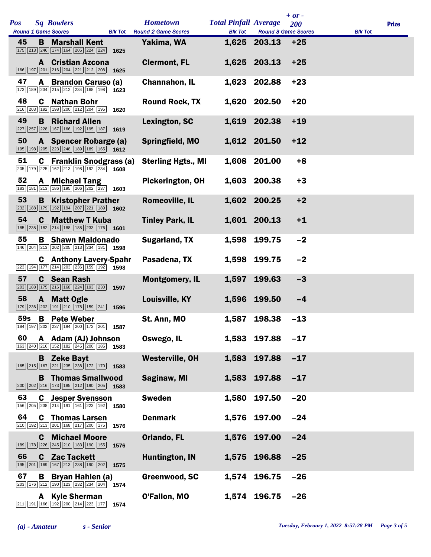|            |    |                                                                                                                                                                |                | <b>Hometown</b>            | <b>Total Pinfall Average</b> |                            | $+ or -$   |                |              |
|------------|----|----------------------------------------------------------------------------------------------------------------------------------------------------------------|----------------|----------------------------|------------------------------|----------------------------|------------|----------------|--------------|
| <b>Pos</b> |    | <b>Sq Bowlers</b><br><b>Round 1 Game Scores</b>                                                                                                                | <b>Blk Tot</b> | <b>Round 2 Game Scores</b> | <b>Blk Tot</b>               | <b>Round 3 Game Scores</b> | <b>200</b> | <b>Blk Tot</b> | <b>Prize</b> |
| 45         |    | <b>B</b> Marshall Kent<br>$\boxed{175}$ $\boxed{213}$ $\boxed{246}$ $\boxed{174}$ $\boxed{164}$ $\boxed{205}$ $\boxed{224}$ $\boxed{224}$                      | 1625           | Yakima, WA                 |                              | 1,625 203.13               | $+25$      |                |              |
|            |    | <b>A</b> Cristian Azcona<br>166 197 201 216 204 221 212 208 1625                                                                                               |                | <b>Clermont, FL</b>        |                              | 1,625 203.13               | $+25$      |                |              |
| 47         |    | A Brandon Caruso (a)<br>173 189 234 215 212 234 168 198                                                                                                        | 1623           | <b>Channahon, IL</b>       |                              | 1,623 202.88               | $+23$      |                |              |
| 48         |    | <b>C</b> Nathan Bohr<br>216 203 192 198 200 212 204 195                                                                                                        | 1620           | <b>Round Rock, TX</b>      |                              | 1,620 202.50               | $+20$      |                |              |
| 49         | B  | <b>Richard Allen</b><br>227 257 228 167 166 192 195 187                                                                                                        | 1619           | Lexington, SC              |                              | 1,619 202.38               | $+19$      |                |              |
| 50         |    | A Spencer Robarge (a)<br>195 198 205 223 248 189 189 165 1612                                                                                                  |                | Springfield, MO            |                              | 1,612 201.50               | $+12$      |                |              |
| 51         |    | <b>C</b> Franklin Snodgrass (a)<br>$\boxed{205}$ $\boxed{179}$ $\boxed{225}$ $\boxed{162}$ $\boxed{213}$ $\boxed{198}$ $\boxed{192}$ $\boxed{234}$ <b>1608</b> |                | <b>Sterling Hgts., MI</b>  |                              | 1,608 201.00               | $+8$       |                |              |
| 52         | A  | <b>Michael Tang</b><br>183 181 213 186 195 206 202 237                                                                                                         | 1603           | Pickerington, OH           |                              | 1,603 200.38               | $+3$       |                |              |
| 53         |    | <b>B</b> Kristopher Prather<br>$\boxed{232}$ 188 179 192 194 207 221 189 1602                                                                                  |                | <b>Romeoville, IL</b>      |                              | 1,602 200.25               | $+2$       |                |              |
| 54         |    | <b>C</b> Matthew T Kuba<br>185 235 182 214 188 188 233 176 1601                                                                                                |                | <b>Tinley Park, IL</b>     |                              | 1,601 200.13               | $+1$       |                |              |
| 55         | В  | <b>Shawn Maldonado</b><br>146 204 213 202 205 213 234 181 1598                                                                                                 |                | <b>Sugarland, TX</b>       | 1,598                        | 199.75                     | $-2$       |                |              |
|            |    | <b>C</b> Anthony Lavery-Spahr<br>$\boxed{223}$ 194 177 214 203 236 159 192 1598                                                                                |                | Pasadena, TX               |                              | 1,598 199.75               | $-2$       |                |              |
| 57         |    | <b>C</b> Sean Rash<br>203 188 175 216 168 224 193 230                                                                                                          | 1597           | <b>Montgomery, IL</b>      | 1,597                        | 199.63                     | $-3$       |                |              |
| 58         |    | A Matt Ogle<br>179 236 202 191 210 178 159 241                                                                                                                 | 1596           | Louisville, KY             |                              | 1,596 199.50               | $-4$       |                |              |
|            |    | 59s B Pete Weber<br>184 197 202 237 194 200 172 201 1587                                                                                                       |                | St. Ann, MO                | 1,587                        | 198.38                     | $-13$      |                |              |
| 60         |    | A Adam (AJ) Johnson<br>163 240 216 152 182 245 200 185                                                                                                         | 1583           | Oswego, IL                 |                              | 1,583 197.88               | $-17$      |                |              |
|            |    | <b>B</b> Zeke Bayt<br>165 215 167 221 235 238 172 170                                                                                                          | 1583           | <b>Westerville, OH</b>     | 1,583                        | 197.88                     | $-17$      |                |              |
|            | В  | <b>Thomas Smallwood</b><br>$\boxed{200}$ $\boxed{202}$ $\boxed{216}$ $\boxed{173}$ $\boxed{185}$ $\boxed{212}$ $\boxed{190}$ $\boxed{205}$ <b>1583</b>         |                | Saginaw, MI                | 1,583                        | 197.88                     | $-17$      |                |              |
| 63         |    | <b>C</b> Jesper Svensson<br>156   205   238   214   191   161   223   192                                                                                      | 1580           | <b>Sweden</b>              | 1,580                        | 197.50                     | $-20$      |                |              |
| 64         | C. | <b>Thomas Larsen</b><br>210 192 213 201 168 217 200 175                                                                                                        | 1576           | <b>Denmark</b>             |                              | 1,576 197.00               | $-24$      |                |              |
|            |    | <b>C</b> Michael Moore<br>189 178 226 245 210 183 190 155                                                                                                      | 1576           | Orlando, FL                | 1,576                        | 197.00                     | $-24$      |                |              |
| 66         | C. | <b>Zac Tackett</b><br>195 201 169 167 213 238 190 202                                                                                                          | 1575           | <b>Huntington, IN</b>      | 1,575                        | 196.88                     | $-25$      |                |              |
| 67         | В  | Bryan Hahlen (a)<br>203 176 212 190 123 232 234 204                                                                                                            | 1574           | Greenwood, SC              | 1,574                        | 196.75                     | $-26$      |                |              |
|            | A  | <b>Kyle Sherman</b><br>$\boxed{211}$ $\boxed{191}$ $\boxed{166}$ $\boxed{192}$ $\boxed{200}$ $\boxed{214}$ $\boxed{223}$ $\boxed{177}$                         | 1574           | O'Fallon, MO               |                              | 1,574 196.75               | $-26$      |                |              |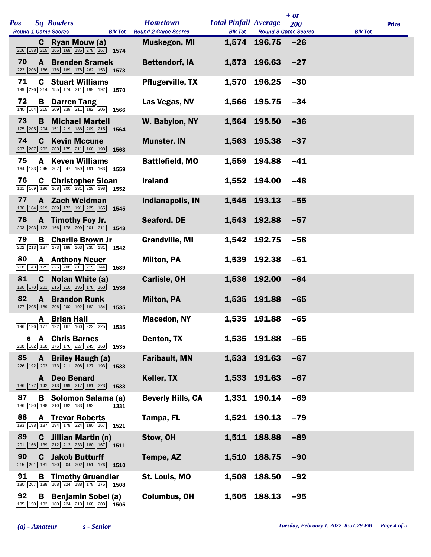| <b>Pos</b> |                  | <b>Sq Bowlers</b><br><b>Round 1 Game Scores</b>                                                                                                        | <b>Blk Tot</b> | <b>Hometown</b><br><b>Round 2 Game Scores</b> | <b>Total Pinfall Average</b><br><b>Blk Tot</b> | <b>Round 3 Game Scores</b> | $+ or -$<br>200 | <b>Blk Tot</b> | <b>Prize</b> |
|------------|------------------|--------------------------------------------------------------------------------------------------------------------------------------------------------|----------------|-----------------------------------------------|------------------------------------------------|----------------------------|-----------------|----------------|--------------|
|            | C.               | Ryan Mouw (a)<br>206 188 215 166 168 186 278 167                                                                                                       | 1574           | <b>Muskegon, MI</b>                           |                                                | 1,574 196.75               | $-26$           |                |              |
| 70         | A                | <b>Brenden Sramek</b><br>223 206 186 176 189 178 262 153                                                                                               | 1573           | <b>Bettendorf, IA</b>                         |                                                | 1,573 196.63               | $-27$           |                |              |
| 71         |                  | <b>C</b> Stuart Williams<br>199 226 214 155 174 211 199 192                                                                                            | 1570           | <b>Pflugerville, TX</b>                       | 1,570                                          | 196.25                     | $-30$           |                |              |
| 72         | В                | <b>Darren Tang</b><br>140 164 215 209 239 211 182 206                                                                                                  | 1566           | Las Vegas, NV                                 |                                                | 1,566 195.75               | $-34$           |                |              |
| 73         | B                | <b>Michael Martell</b><br>175 205 204 151 219 186 209 215                                                                                              | 1564           | W. Babylon, NY                                |                                                | 1,564 195.50               | $-36$           |                |              |
| 74         |                  | <b>C</b> Kevin Mccune<br>207 207 202 203 175 211 160 198                                                                                               | 1563           | <b>Munster, IN</b>                            | 1,563                                          | 195.38                     | $-37$           |                |              |
| 75         | A                | <b>Keven Williams</b><br>164 183 245 207 247 159 191 163                                                                                               | 1559           | <b>Battlefield, MO</b>                        | 1,559                                          | 194.88                     | $-41$           |                |              |
| 76         |                  | <b>C</b> Christopher Sloan<br>161   169   196   168   200   231   229   198                                                                            | 1552           | <b>Ireland</b>                                |                                                | 1,552 194.00               | $-48$           |                |              |
| 77         |                  | A Zach Weidman<br>180   184   219   209   172   191   225   165                                                                                        | 1545           | <b>Indianapolis, IN</b>                       |                                                | 1,545 193.13               | $-55$           |                |              |
| 78         |                  | A Timothy Foy Jr.<br>203 203 172 166 178 209 201 211                                                                                                   | 1543           | Seaford, DE                                   |                                                | 1,543 192.88               | $-57$           |                |              |
| 79         | В                | <b>Charlie Brown Jr</b><br>202 213 187 173 188 163 235 181                                                                                             | 1542           | <b>Grandville, MI</b>                         |                                                | 1,542 192.75               | $-58$           |                |              |
| 80         |                  | <b>A</b> Anthony Neuer<br>218 143 175 225 208 211 215 144                                                                                              | 1539           | <b>Milton, PA</b>                             |                                                | 1,539 192.38               | $-61$           |                |              |
| 81         | C.               | Nolan White (a)<br>190 178 201 215 210 196 178 168                                                                                                     | 1536           | <b>Carlisle, OH</b>                           |                                                | 1,536 192.00               | $-64$           |                |              |
| 82         | $\mathbf{A}$     | <b>Brandon Runk</b><br>177 205 189 206 200 192 182 184                                                                                                 | 1535           | <b>Milton, PA</b>                             |                                                | 1,535 191.88               | $-65$           |                |              |
|            |                  | A Brian Hall<br>196 196 177 192 167 160 222 225 1535                                                                                                   |                | <b>Macedon, NY</b>                            |                                                | 1,535 191.88               | $-65$           |                |              |
| S.         |                  | <b>A</b> Chris Barnes<br>208   182   158   176   176   227   245   163                                                                                 | 1535           | Denton, TX                                    |                                                | 1,535 191.88               | $-65$           |                |              |
| 85         | A                | <b>Briley Haugh (a)</b><br>$\boxed{226}$ $\boxed{192}$ $\boxed{203}$ $\boxed{173}$ $\boxed{211}$ $\boxed{208}$ $\boxed{127}$ $\boxed{193}$ <b>1533</b> |                | <b>Faribault, MN</b>                          | 1,533                                          | 191.63                     | $-67$           |                |              |
|            | A                | <b>Deo Benard</b><br>186 172 142 213 199 217 181 223                                                                                                   | 1533           | Keller, TX                                    |                                                | 1,533 191.63               | $-67$           |                |              |
| 87         |                  | <b>B</b> Solomon Salama (a)<br>186 180 198 210 182 183 192                                                                                             | 1331           | <b>Beverly Hills, CA</b>                      | 1,331                                          | 190.14                     | $-69$           |                |              |
| 88         | A                | <b>Trevor Roberts</b><br>193 198 187 194 178 224 180 167                                                                                               | 1521           | Tampa, FL                                     |                                                | 1,521 190.13               | $-79$           |                |              |
| 89         | C                | Jillian Martin (n)<br>$\boxed{201}$ 166 139 212 213 233 180 167 1511                                                                                   |                | Stow, OH                                      | 1,511                                          | 188.88                     | $-89$           |                |              |
| 90         | C                | <b>Jakob Butturff</b><br>215 201 181 180 204 202 151 176                                                                                               | 1510           | Tempe, AZ                                     | 1,510                                          | 188.75                     | $-90$           |                |              |
| 91         | В<br>180 207 188 | <b>Timothy Gruendler</b><br>168 224 188 178 175                                                                                                        | 1508           | St. Louis, MO                                 | 1,508                                          | 188.50                     | $-92$           |                |              |
| 92         | В                | <b>Benjamin Sobel (a)</b><br>185 150 182 180 224 213 168 203                                                                                           | 1505           | <b>Columbus, OH</b>                           | 1,505                                          | 188.13                     | $-95$           |                |              |